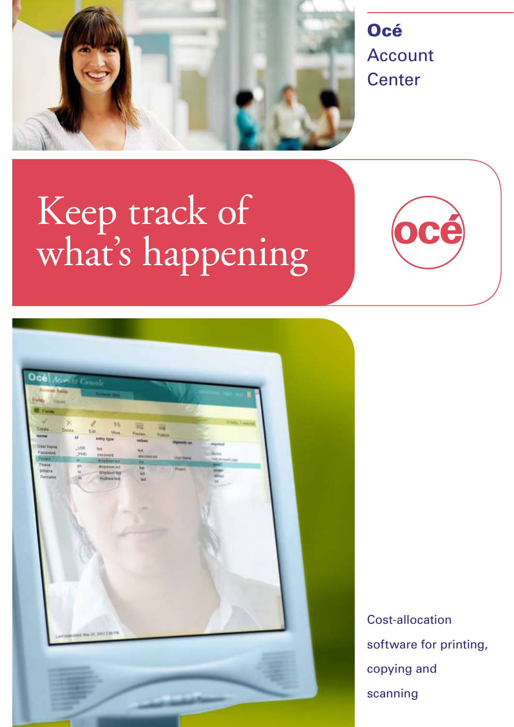

Océ Account **Center** 

# Keep track of what's happening





Cost-allocation software for printing, copying and scanning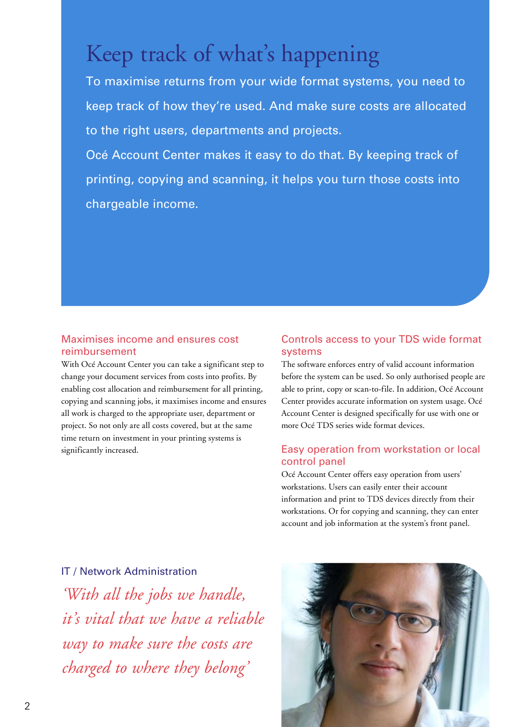## Keep track of what's happening

To maximise returns from your wide format systems, you need to keep track of how they're used. And make sure costs are allocated to the right users, departments and projects.

Océ Account Center makes it easy to do that. By keeping track of printing, copying and scanning, it helps you turn those costs into chargeable income.

## Maximises income and ensures cost reimbursement

With Océ Account Center you can take a significant step to change your document services from costs into profits. By enabling cost allocation and reimbursement for all printing, copying and scanning jobs, it maximises income and ensures all work is charged to the appropriate user, department or project. So not only are all costs covered, but at the same time return on investment in your printing systems is significantly increased.

## Controls access to your TDS wide format systems

The software enforces entry of valid account information before the system can be used. So only authorised people are able to print, copy or scan-to-file. In addition, Océ Account Center provides accurate information on system usage. Océ Account Center is designed specifically for use with one or more Océ TDS series wide format devices.

#### Easy operation from workstation or local control panel

Océ Account Center offers easy operation from users' workstations. Users can easily enter their account information and print to TDS devices directly from their workstations. Or for copying and scanning, they can enter account and job information at the system's front panel.

IT / Network Administration *'With all the jobs we handle, it's vital that we have a reliable way to make sure the costs are charged to where they belong'*

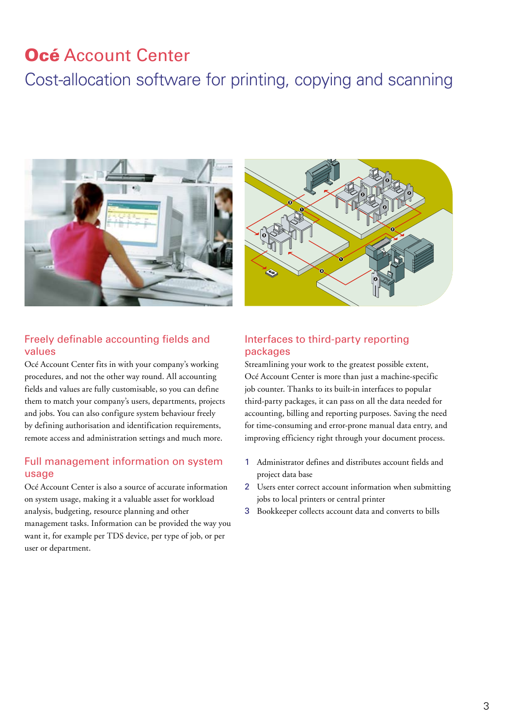## Océ Account Center

## Cost-allocation software for printing, copying and scanning



### Freely definable accounting fields and values

Océ Account Center fits in with your company's working procedures, and not the other way round. All accounting fields and values are fully customisable, so you can define them to match your company's users, departments, projects and jobs. You can also configure system behaviour freely by defining authorisation and identification requirements, remote access and administration settings and much more.

#### Full management information on system usage

Océ Account Center is also a source of accurate information on system usage, making it a valuable asset for workload analysis, budgeting, resource planning and other management tasks. Information can be provided the way you want it, for example per TDS device, per type of job, or per user or department.



## Interfaces to third-party reporting packages

Streamlining your work to the greatest possible extent, Océ Account Center is more than just a machine-specific job counter. Thanks to its built-in interfaces to popular third-party packages, it can pass on all the data needed for accounting, billing and reporting purposes. Saving the need for time-consuming and error-prone manual data entry, and improving efficiency right through your document process.

- 1 Administrator defines and distributes account fields and project data base
- 2 Users enter correct account information when submitting jobs to local printers or central printer
- 3 Bookkeeper collects account data and converts to bills